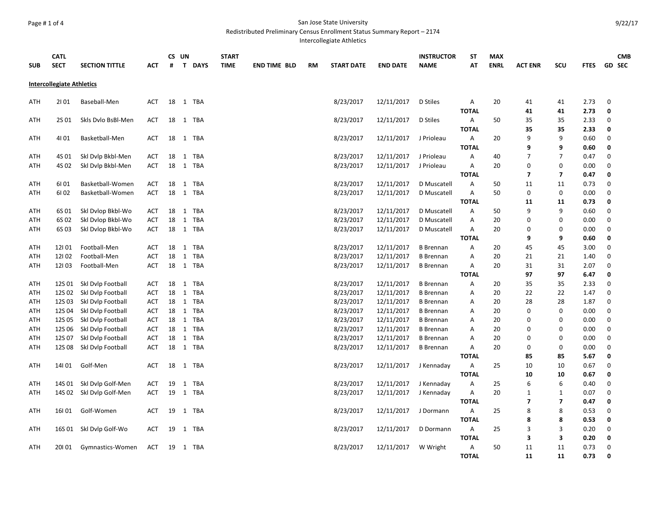#### Page # 1 of 4 San Jose State University

Redistributed Preliminary Census Enrollment Status Summary Report – 2174

Intercollegiate Athletics

|                                  | <b>CATL</b> |                         |            |    | CS UN        |             | <b>START</b> |                     |           |                   |                 | <b>INSTRUCTOR</b> | ST           | <b>MAX</b>  |                |                         |             |                  | <b>CMB</b> |
|----------------------------------|-------------|-------------------------|------------|----|--------------|-------------|--------------|---------------------|-----------|-------------------|-----------------|-------------------|--------------|-------------|----------------|-------------------------|-------------|------------------|------------|
| <b>SUB</b>                       | <b>SECT</b> | <b>SECTION TITTLE</b>   | АСТ        | #  | $\mathbf{T}$ | <b>DAYS</b> | <b>TIME</b>  | <b>END TIME BLD</b> | <b>RM</b> | <b>START DATE</b> | <b>END DATE</b> | <b>NAME</b>       | AT           | <b>ENRL</b> | <b>ACT ENR</b> | SCU                     | <b>FTES</b> |                  | GD SEC     |
|                                  |             |                         |            |    |              |             |              |                     |           |                   |                 |                   |              |             |                |                         |             |                  |            |
| <b>Intercollegiate Athletics</b> |             |                         |            |    |              |             |              |                     |           |                   |                 |                   |              |             |                |                         |             |                  |            |
| ATH                              | 2101        | Baseball-Men            | <b>ACT</b> |    |              | 18 1 TBA    |              |                     |           | 8/23/2017         | 12/11/2017      | D Stiles          | Α            | 20          | 41             | 41                      | 2.73        | 0                |            |
|                                  |             |                         |            |    |              |             |              |                     |           |                   |                 |                   |              |             |                |                         |             | 0                |            |
|                                  |             |                         |            |    |              |             |              |                     |           |                   |                 |                   | <b>TOTAL</b> |             | 41             | 41                      | 2.73        |                  |            |
| ATH                              | 2S 01       | Skls Dvlo BsBl-Men      | ACT        | 18 |              | 1 TBA       |              |                     |           | 8/23/2017         | 12/11/2017      | D Stiles          | A            | 50          | 35             | 35                      | 2.33        | 0                |            |
|                                  |             |                         |            |    |              |             |              |                     |           |                   |                 |                   | <b>TOTAL</b> |             | 35             | 35                      | 2.33        | 0                |            |
| ATH                              | 4101        | Basketball-Men          | ACT        | 18 |              | 1 TBA       |              |                     |           | 8/23/2017         | 12/11/2017      | J Prioleau        | Α            | 20          | 9              | 9                       | 0.60        | 0                |            |
|                                  |             |                         |            |    |              |             |              |                     |           |                   |                 |                   | <b>TOTAL</b> |             | 9              | 9                       | 0.60        | 0                |            |
| ATH                              | 4S 01       | Skl Dvlp Bkbl-Men       | <b>ACT</b> |    |              | 18 1 TBA    |              |                     |           | 8/23/2017         | 12/11/2017      | J Prioleau        | Α            | 40          | $\overline{7}$ | $\overline{7}$          | 0.47        | 0                |            |
| ATH                              | 4S 02       | Skl Dvlp Bkbl-Men       | <b>ACT</b> | 18 |              | 1 TBA       |              |                     |           | 8/23/2017         | 12/11/2017      | J Prioleau        | А            | 20          | $\pmb{0}$      | $\mathbf 0$             | 0.00        | $\boldsymbol{0}$ |            |
|                                  |             |                         |            |    |              |             |              |                     |           |                   |                 |                   | <b>TOTAL</b> |             | $\overline{ }$ | $\overline{\mathbf{z}}$ | 0.47        | 0                |            |
| ATH                              | 6101        | Basketball-Women        | <b>ACT</b> |    |              | 18 1 TBA    |              |                     |           | 8/23/2017         | 12/11/2017      | D Muscatell       | Α            | 50          | 11             | 11                      | 0.73        | $\mathbf 0$      |            |
| <b>ATH</b>                       | 6102        | Basketball-Women        | <b>ACT</b> |    |              | 18 1 TBA    |              |                     |           | 8/23/2017         | 12/11/2017      | D Muscatell       | А            | 50          | $\mathbf 0$    | $\pmb{0}$               | 0.00        | $\mathbf 0$      |            |
|                                  |             |                         |            |    |              |             |              |                     |           |                   |                 |                   | <b>TOTAL</b> |             | 11             | 11                      | 0.73        | 0                |            |
| ATH                              | 6S 01       | Skl Dvlop Bkbl-Wo       | ACT        |    |              | 18 1 TBA    |              |                     |           | 8/23/2017         | 12/11/2017      | D Muscatell       | Α            | 50          | 9              | 9                       | 0.60        | 0                |            |
| ATH                              | 6S 02       | Skl Dvlop Bkbl-Wo       | <b>ACT</b> | 18 | 1            | <b>TBA</b>  |              |                     |           | 8/23/2017         | 12/11/2017      | D Muscatell       | Α            | 20          | $\mathbf 0$    | $\bf{0}$                | 0.00        | 0                |            |
| ATH                              | 6S03        | Skl Dvlop Bkbl-Wo       | ACT        | 18 |              | 1 TBA       |              |                     |           | 8/23/2017         | 12/11/2017      | D Muscatell       | Α            | 20          | $\Omega$       | $\bf{0}$                | 0.00        | 0                |            |
|                                  |             |                         |            |    |              |             |              |                     |           |                   |                 |                   | <b>TOTAL</b> |             | 9              | 9                       | 0.60        | 0                |            |
| ATH                              | 12101       | Football-Men            | ACT        | 18 | 1            | <b>TBA</b>  |              |                     |           | 8/23/2017         | 12/11/2017      | <b>B</b> Brennan  | Α            | 20          | 45             | 45                      | 3.00        | 0                |            |
| ATH                              | 12102       | Football-Men            | <b>ACT</b> | 18 | 1            | <b>TBA</b>  |              |                     |           | 8/23/2017         | 12/11/2017      | <b>B</b> Brennan  | Α            | 20          | 21             | 21                      | 1.40        | 0                |            |
| ATH                              | 12103       | Football-Men            | ACT        |    |              | 18 1 TBA    |              |                     |           | 8/23/2017         | 12/11/2017      | <b>B</b> Brennan  | Α            | 20          | 31             | 31                      | 2.07        | $\mathbf 0$      |            |
|                                  |             |                         |            |    |              |             |              |                     |           |                   |                 |                   | <b>TOTAL</b> |             | 97             | 97                      | 6.47        | 0                |            |
| ATH                              | 12S 01      | Skl Dvlp Football       | ACT        | 18 | 1            | TBA         |              |                     |           | 8/23/2017         | 12/11/2017      | <b>B</b> Brennan  | Α            | 20          | 35             | 35                      | 2.33        | 0                |            |
| ATH                              | 12S 02      | Skl Dvlp Football       | ACT        |    | 18 1         | <b>TBA</b>  |              |                     |           | 8/23/2017         | 12/11/2017      | <b>B</b> Brennan  | Α            | 20          | 22             | 22                      | 1.47        | $\mathbf 0$      |            |
| ATH                              | 12S03       | Skl Dvlp Football       | <b>ACT</b> |    | 18 1         | <b>TBA</b>  |              |                     |           | 8/23/2017         | 12/11/2017      | <b>B</b> Brennan  | Α            | 20          | 28             | 28                      | 1.87        | $\mathbf 0$      |            |
| ATH                              | 12S04       | Skl Dvlp Football       | <b>ACT</b> | 18 | $\mathbf{1}$ | <b>TBA</b>  |              |                     |           | 8/23/2017         | 12/11/2017      | <b>B</b> Brennan  | Α            | 20          | $\mathbf 0$    | $\pmb{0}$               | 0.00        | $\mathbf 0$      |            |
| ATH                              | 12S 05      | Skl Dvlp Football       | ACT        |    | 18 1         | <b>TBA</b>  |              |                     |           | 8/23/2017         | 12/11/2017      | <b>B</b> Brennan  | Α            | 20          | $\Omega$       | $\mathbf 0$             | 0.00        | $\pmb{0}$        |            |
| ATH                              | 12S 06      | Skl Dvlp Football       | ACT        |    | 18 1         | TBA         |              |                     |           | 8/23/2017         | 12/11/2017      | <b>B</b> Brennan  | Α            | 20          | $\Omega$       | $\bf{0}$                | 0.00        | 0                |            |
| ATH                              | 12S 07      | Skl Dvlp Football       | ACT        | 18 | 1            | <b>TBA</b>  |              |                     |           | 8/23/2017         | 12/11/2017      | <b>B</b> Brennan  | Α            | 20          | $\Omega$       | $\bf{0}$                | 0.00        | 0                |            |
| <b>ATH</b>                       | 12S08       | Skl Dvlp Football       | <b>ACT</b> |    |              | 18 1 TBA    |              |                     |           | 8/23/2017         | 12/11/2017      | <b>B</b> Brennan  | А            | 20          | $\mathbf 0$    | $\mathbf 0$             | 0.00        | $\mathbf 0$      |            |
|                                  |             |                         |            |    |              |             |              |                     |           |                   |                 |                   | <b>TOTAL</b> |             | 85             | 85                      | 5.67        | 0                |            |
| ATH                              | 14101       | Golf-Men                | ACT        | 18 |              | 1 TBA       |              |                     |           | 8/23/2017         | 12/11/2017      | J Kennaday        | Α            | 25          | 10             | 10                      | 0.67        | 0                |            |
|                                  |             |                         |            |    |              |             |              |                     |           |                   |                 |                   | <b>TOTAL</b> |             | 10             | 10                      |             | 0                |            |
|                                  |             |                         |            |    |              |             |              |                     |           |                   |                 |                   |              |             |                |                         | 0.67        |                  |            |
| ATH                              | 14S 01      | Skl Dvlp Golf-Men       | <b>ACT</b> | 19 | 1            | <b>TBA</b>  |              |                     |           | 8/23/2017         | 12/11/2017      | J Kennaday        | А            | 25          | 6              | 6                       | 0.40        | $\mathbf 0$      |            |
| ATH                              | 14S 02      | Skl Dvlp Golf-Men       | <b>ACT</b> | 19 | 1            | TBA         |              |                     |           | 8/23/2017         | 12/11/2017      | J Kennaday        | A            | 20          | $\mathbf{1}$   | $\mathbf{1}$            | 0.07        | 0                |            |
|                                  |             |                         |            |    |              |             |              |                     |           |                   |                 |                   | <b>TOTAL</b> |             | $\overline{ }$ | $\overline{\mathbf{z}}$ | 0.47        | 0                |            |
| ATH                              | 16101       | Golf-Women              | <b>ACT</b> | 19 |              | 1 TBA       |              |                     |           | 8/23/2017         | 12/11/2017      | J Dormann         | Α            | 25          | 8              | 8                       | 0.53        | $\mathbf 0$      |            |
|                                  |             |                         |            |    |              |             |              |                     |           |                   |                 |                   | <b>TOTAL</b> |             | 8              | 8                       | 0.53        | 0                |            |
| ATH                              |             | 16S 01 Skl Dvlp Golf-Wo | <b>ACT</b> | 19 |              | 1 TBA       |              |                     |           | 8/23/2017         | 12/11/2017      | D Dormann         | А            | 25          | 3              | 3                       | 0.20        | 0                |            |
|                                  |             |                         |            |    |              |             |              |                     |           |                   |                 |                   | <b>TOTAL</b> |             | 3              | 3                       | 0.20        | 0                |            |
| ATH                              | 20101       | Gymnastics-Women        | ACT        | 19 |              | 1 TBA       |              |                     |           | 8/23/2017         | 12/11/2017      | W Wright          | Α            | 50          | 11             | 11                      | 0.73        | 0                |            |
|                                  |             |                         |            |    |              |             |              |                     |           |                   |                 |                   | <b>TOTAL</b> |             | 11             | 11                      | 0.73        | 0                |            |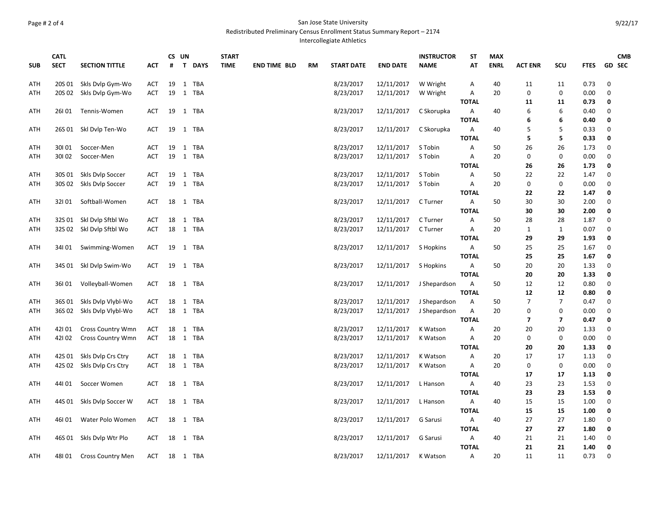#### Page # 2 of 4 San Jose State University

Redistributed Preliminary Census Enrollment Status Summary Report – 2174

Intercollegiate Athletics

|            | <b>CATL</b> |                          |            | CS UN |  |          | <b>START</b> |                     |           | <b>INSTRUCTOR</b> | <b>ST</b>       | <b>MAX</b>   |                   |             |                          |                | <b>CMB</b>   |               |  |
|------------|-------------|--------------------------|------------|-------|--|----------|--------------|---------------------|-----------|-------------------|-----------------|--------------|-------------------|-------------|--------------------------|----------------|--------------|---------------|--|
| <b>SUB</b> | <b>SECT</b> | <b>SECTION TITTLE</b>    | АСТ        | #     |  | T DAYS   | <b>TIME</b>  | <b>END TIME BLD</b> | <b>RM</b> | <b>START DATE</b> | <b>END DATE</b> | <b>NAME</b>  | AT                | <b>ENRL</b> | <b>ACT ENR</b>           | SCU            | <b>FTES</b>  | <b>GD SEC</b> |  |
| ATH        | 20S 01      | Skls Dvlp Gym-Wo         | <b>ACT</b> | 19    |  | 1 TBA    |              |                     |           | 8/23/2017         | 12/11/2017      | W Wright     | Α                 | 40          | 11                       | 11             | 0.73         | 0             |  |
| <b>ATH</b> | 20S 02      | Skls Dvlp Gym-Wo         | <b>ACT</b> | 19    |  | 1 TBA    |              |                     |           | 8/23/2017         | 12/11/2017      | W Wright     | Α                 | 20          | $\mathbf 0$              | 0              | 0.00         | $\pmb{0}$     |  |
|            |             |                          |            |       |  |          |              |                     |           |                   |                 |              | <b>TOTAL</b>      |             | 11                       | 11             | 0.73         | 0             |  |
| ATH        | 26101       | Tennis-Women             | ACT        | 19    |  | 1 TBA    |              |                     |           | 8/23/2017         | 12/11/2017      | C Skorupka   | Α                 | 40          | 6                        | 6              | 0.40         | 0             |  |
|            |             |                          |            |       |  |          |              |                     |           |                   |                 |              | <b>TOTAL</b>      |             | 6                        | 6              | 0.40         | 0             |  |
| ATH        |             | 26S 01 Skl Dvlp Ten-Wo   | <b>ACT</b> | 19    |  | 1 TBA    |              |                     |           | 8/23/2017         | 12/11/2017      | C Skorupka   | Α                 | 40          | 5                        | 5              | 0.33         | 0             |  |
|            |             |                          |            |       |  |          |              |                     |           |                   |                 |              | <b>TOTAL</b>      |             | 5                        | 5              | 0.33         | 0             |  |
| ATH        | 30101       | Soccer-Men               | <b>ACT</b> | 19    |  | 1 TBA    |              |                     |           | 8/23/2017         | 12/11/2017      | S Tobin      | Α                 | 50          | 26                       | 26             | 1.73         | $\mathbf 0$   |  |
| <b>ATH</b> | 30102       | Soccer-Men               | <b>ACT</b> | 19    |  | 1 TBA    |              |                     |           | 8/23/2017         | 12/11/2017      | S Tobin      | Α                 | 20          | $\mathbf 0$              | $\mathbf 0$    | 0.00         | 0             |  |
|            |             |                          |            |       |  |          |              |                     |           |                   |                 |              | <b>TOTAL</b>      |             | 26                       | 26             | 1.73         | 0             |  |
| <b>ATH</b> | 30S 01      | Skls Dvlp Soccer         | <b>ACT</b> | 19    |  | 1 TBA    |              |                     |           | 8/23/2017         | 12/11/2017      | S Tobin      | Α                 | 50          | 22                       | 22             | 1.47         | 0             |  |
| ATH        | 30S 02      | Skls Dvlp Soccer         | <b>ACT</b> | 19    |  | 1 TBA    |              |                     |           | 8/23/2017         | 12/11/2017      | S Tobin      | А                 | 20          | 0                        | 0              | 0.00         | $\mathbf 0$   |  |
|            |             |                          |            |       |  |          |              |                     |           |                   |                 |              | <b>TOTAL</b>      |             | 22                       | 22             | 1.47         | 0             |  |
| <b>ATH</b> | 32101       | Softball-Women           | ACT        |       |  | 18 1 TBA |              |                     |           | 8/23/2017         | 12/11/2017      | C Turner     | A                 | 50          | 30                       | 30             | 2.00         | 0             |  |
|            |             |                          |            |       |  |          |              |                     |           |                   |                 |              | <b>TOTAL</b>      |             | 30                       | 30             | 2.00         | 0             |  |
| <b>ATH</b> | 32S 01      | Skl Dvlp Sftbl Wo        | ACT        | 18    |  | 1 TBA    |              |                     |           | 8/23/2017         | 12/11/2017      | C Turner     | А                 | 50          | 28                       | 28             | 1.87         | 0             |  |
| ATH        | 32S 02      | Skl Dvlp Sftbl Wo        | ACT        |       |  | 18 1 TBA |              |                     |           | 8/23/2017         | 12/11/2017      | C Turner     | Α                 | 20          | $\mathbf{1}$             | $\mathbf{1}$   | 0.07         | 0             |  |
|            |             |                          |            |       |  |          |              |                     |           |                   |                 |              | <b>TOTAL</b>      |             | 29                       | 29             | 1.93         | 0             |  |
| <b>ATH</b> | 34101       | Swimming-Women           | <b>ACT</b> | 19    |  | 1 TBA    |              |                     |           | 8/23/2017         | 12/11/2017      | S Hopkins    | Α                 | 50          | 25                       | 25             | 1.67         | 0             |  |
|            |             |                          |            |       |  |          |              |                     |           |                   |                 |              | <b>TOTAL</b>      |             | 25                       | 25             | 1.67         | 0             |  |
| <b>ATH</b> |             | 34S 01 Skl Dvlp Swim-Wo  | ACT        | 19    |  | 1 TBA    |              |                     |           | 8/23/2017         | 12/11/2017      | S Hopkins    | A<br><b>TOTAL</b> | 50          | 20<br>20                 | 20<br>20       | 1.33         | 0<br>0        |  |
| ATH        | 36101       |                          | <b>ACT</b> | 18    |  | 1 TBA    |              |                     |           |                   |                 |              | A                 | 50          | 12                       | 12             | 1.33<br>0.80 | $\mathbf 0$   |  |
|            |             | Volleyball-Women         |            |       |  |          |              |                     |           | 8/23/2017         | 12/11/2017      | J Shepardson | <b>TOTAL</b>      |             | 12                       | 12             | 0.80         | 0             |  |
| <b>ATH</b> | 36S 01      | Skls Dvlp Vlybl-Wo       | ACT        | 18    |  | 1 TBA    |              |                     |           | 8/23/2017         | 12/11/2017      | J Shepardson | Α                 | 50          | $\overline{7}$           | 7              | 0.47         | 0             |  |
| ATH        | 36S 02      | Skls Dvlp Vlybl-Wo       | <b>ACT</b> |       |  | 18 1 TBA |              |                     |           | 8/23/2017         | 12/11/2017      | J Shepardson | Α                 | 20          | $\mathbf 0$              | 0              | 0.00         | 0             |  |
|            |             |                          |            |       |  |          |              |                     |           |                   |                 |              | <b>TOTAL</b>      |             | $\overline{\phantom{a}}$ | $\overline{7}$ | 0.47         | 0             |  |
| <b>ATH</b> | 42101       | <b>Cross Country Wmn</b> | ACT        | 18    |  | 1 TBA    |              |                     |           | 8/23/2017         | 12/11/2017      | K Watson     | Α                 | 20          | 20                       | 20             | 1.33         | 0             |  |
| ATH        | 42102       | <b>Cross Country Wmn</b> | <b>ACT</b> |       |  | 18 1 TBA |              |                     |           | 8/23/2017         | 12/11/2017      | K Watson     | Α                 | 20          | $\mathbf 0$              | $\mathbf 0$    | 0.00         | 0             |  |
|            |             |                          |            |       |  |          |              |                     |           |                   |                 |              | <b>TOTAL</b>      |             | 20                       | 20             | 1.33         | 0             |  |
| <b>ATH</b> | 42S 01      | Skls Dvlp Crs Ctry       | <b>ACT</b> | 18    |  | 1 TBA    |              |                     |           | 8/23/2017         | 12/11/2017      | K Watson     | Α                 | 20          | 17                       | 17             | 1.13         | 0             |  |
| ATH        | 42S 02      | Skls Dvlp Crs Ctry       | ACT        | 18    |  | 1 TBA    |              |                     |           | 8/23/2017         | 12/11/2017      | K Watson     | Α                 | 20          | $\mathbf 0$              | 0              | 0.00         | 0             |  |
|            |             |                          |            |       |  |          |              |                     |           |                   |                 |              | <b>TOTAL</b>      |             | 17                       | 17             | 1.13         | 0             |  |
| <b>ATH</b> | 44101       | Soccer Women             | <b>ACT</b> | 18    |  | 1 TBA    |              |                     |           | 8/23/2017         | 12/11/2017      | L Hanson     | Α                 | 40          | 23                       | 23             | 1.53         | 0             |  |
|            |             |                          |            |       |  |          |              |                     |           |                   |                 |              | <b>TOTAL</b>      |             | 23                       | 23             | 1.53         | 0             |  |
| ATH        | 44S 01      | Skls Dvlp Soccer W       | <b>ACT</b> | 18    |  | 1 TBA    |              |                     |           | 8/23/2017         | 12/11/2017      | L Hanson     | Α                 | 40          | 15                       | 15             | 1.00         | 0             |  |
|            |             |                          |            |       |  |          |              |                     |           |                   |                 |              | <b>TOTAL</b>      |             | 15                       | 15             | 1.00         | 0             |  |
| <b>ATH</b> | 46I01       | Water Polo Women         | <b>ACT</b> | 18    |  | 1 TBA    |              |                     |           | 8/23/2017         | 12/11/2017      | G Sarusi     | Α                 | 40          | 27                       | 27             | 1.80         | 0             |  |
|            |             |                          |            |       |  |          |              |                     |           |                   |                 |              | <b>TOTAL</b>      |             | 27                       | 27             | 1.80         | 0             |  |
| <b>ATH</b> |             | 46S 01 Skls Dvlp Wtr Plo | ACT        |       |  | 18 1 TBA |              |                     |           | 8/23/2017         | 12/11/2017      | G Sarusi     | Α                 | 40          | 21                       | 21             | 1.40         | 0             |  |
|            |             |                          |            |       |  |          |              |                     |           |                   |                 |              | <b>TOTAL</b>      |             | 21                       | 21             | 1.40         | 0             |  |
| <b>ATH</b> | 48101       | <b>Cross Country Men</b> | <b>ACT</b> | 18    |  | 1 TBA    |              |                     |           | 8/23/2017         | 12/11/2017      | K Watson     | Α                 | 20          | 11                       | 11             | 0.73         | $\pmb{0}$     |  |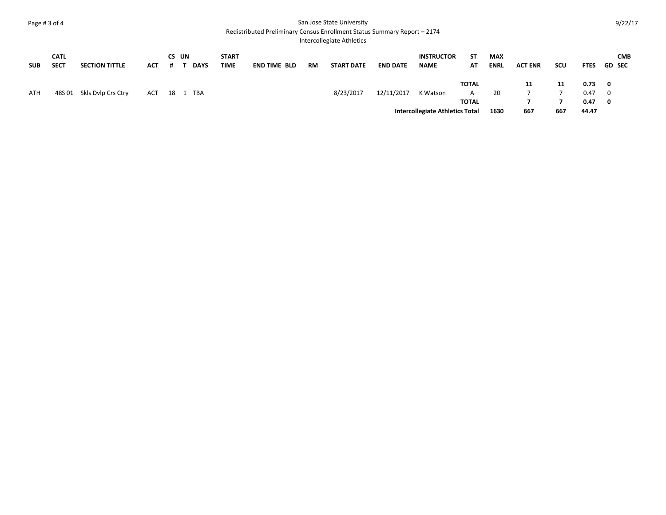## Page # 3 of 4 San Jose State University

### Redistributed Preliminary Census Enrollment Status Summary Report – 2174

Intercollegiate Athletics

| <b>SUB</b> | <b>CATL</b><br><b>SECT</b> | <b>SECTION TITTLE</b>     | <b>ACT</b> | #                 | CS UN | <b>DAYS</b> | <b>START</b><br><b>TIME</b> | <b>END TIME BLD</b> | RM | <b>START DATE</b> | <b>END DATE</b> | <b>INSTRUCTOR</b><br><b>NAME</b>       | SΤ<br>AT     | <b>MAX</b><br><b>ENRL</b> | <b>ACT ENR</b> | <b>SCU</b> | <b>FTES</b> |                         | <b>CMB</b><br><b>GD SEC</b> |
|------------|----------------------------|---------------------------|------------|-------------------|-------|-------------|-----------------------------|---------------------|----|-------------------|-----------------|----------------------------------------|--------------|---------------------------|----------------|------------|-------------|-------------------------|-----------------------------|
|            |                            |                           |            |                   |       |             |                             |                     |    |                   |                 |                                        | <b>TOTAL</b> |                           | 11             | 11         | 0.73        | $\overline{\mathbf{0}}$ |                             |
| ATH        |                            | 48S 01 Skls Dvlp Crs Ctry | ACT        | <sup>-</sup> 18 1 |       | TBA         |                             |                     |    | 8/23/2017         | 12/11/2017      | K Watson                               | A            | 20                        |                |            | 0.47        | $\overline{\mathbf{0}}$ |                             |
|            |                            |                           |            |                   |       |             |                             |                     |    |                   |                 |                                        | TOTAL        |                           |                |            | 0.47        | $\mathbf{0}$            |                             |
|            |                            |                           |            |                   |       |             |                             |                     |    |                   |                 | <b>Intercollegiate Athletics Total</b> |              | 1630                      | 667            | 667        | 44.47       |                         |                             |